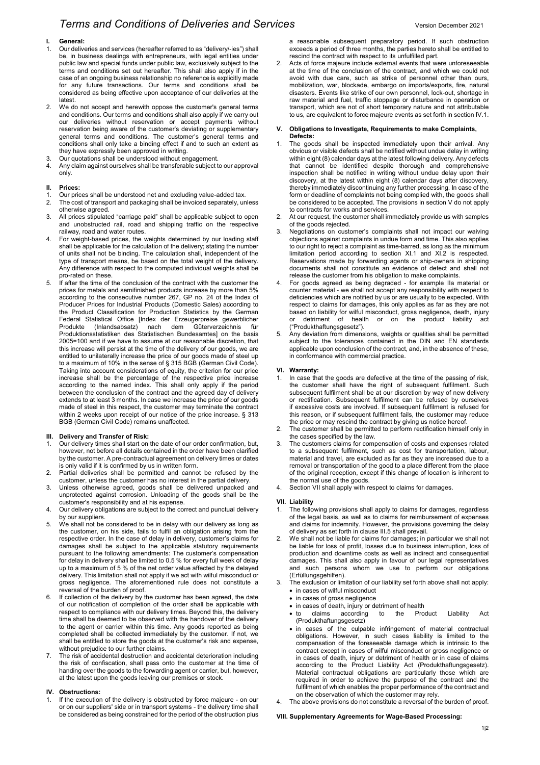# *Terms and Conditions of Deliveries and Services Version December 2021 Version December 2021*

- 1. Our deliveries and services (hereafter referred to as "delivery/-ies") shall be, in business dealings with entrepreneurs, with legal entities under public law and special funds under public law, exclusively subject to the terms and conditions set out hereafter. This shall also apply if in the case of an ongoing business relationship no reference is explicitly made for any future transactions. Our terms and conditions shall be considered as being effective upon acceptance of our deliveries at the latest.
- 2. We do not accept and herewith oppose the customer's general terms and conditions. Our terms and conditions shall also apply if we carry out our deliveries without reservation or accept payments without reservation being aware of the customer's deviating or supplementary general terms and conditions. The customer's general terms and conditions shall only take a binding effect if and to such an extent as they have expressly been approved in writing.
- 3. Our quotations shall be understood without engagement.
- 4. Any claim against ourselves shall be transferable subject to our approval only.

#### **II. Prices:**

- 1. Our prices shall be understood net and excluding value-added tax.<br>2. The cost of transport and packaging shall be invoiced separately un
- The cost of transport and packaging shall be invoiced separately, unless otherwise agreed.
- 3. All prices stipulated "carriage paid" shall be applicable subject to open and unobstructed rail, road and shipping traffic on the respective railway, road and water routes.
- 4. For weight-based prices, the weights determined by our loading staff shall be applicable for the calculation of the delivery; stating the number of units shall not be binding. The calculation shall, independent of the type of transport means, be based on the total weight of the delivery. Any difference with respect to the computed individual weights shall be pro-rated on these.
- If after the time of the conclusion of the contract with the customer the prices for metals and semifinished products increase by more than 5% according to the consecutive number 267, GP no. 24 of the Index of Producer Prices for Industrial Products (Domestic Sales) according to the Product Classification for Production Statistics by the German Federal Statistical Office [Index der Erzeugerpreise gewerblicher **Güterverzeichnis für** Produktionsstatistiken des Statistischen Bundesamtes] on the basis 2005=100 and if we have to assume at our reasonable discretion, that this increase will persist at the time of the delivery of our goods, we are entitled to unilaterally increase the price of our goods made of steel up to a maximum of 10% in the sense of § 315 BGB (German Civil Code). Taking into account considerations of equity, the criterion for our price increase shall be the percentage of the respective price increase according to the named index. This shall only apply if the period between the conclusion of the contract and the agreed day of delivery extends to at least 3 months. In case we increase the price of our goods made of steel in this respect, the customer may terminate the contract within 2 weeks upon receipt of our notice of the price increase. § 313 BGB (German Civil Code) remains unaffected.

## **III. Delivery and Transfer of Risk:**

- 1. Our delivery times shall start on the date of our order confirmation, but, however, not before all details contained in the order have been clarified by the customer. A pre-contractual agreement on delivery times or dates is only valid if it is confirmed by us in written form.
- 2. Partial deliveries shall be permitted and cannot be refused by the customer, unless the customer has no interest in the partial delivery.
- 3. Unless otherwise agreed, goods shall be delivered unpacked and unprotected against corrosion. Unloading of the goods shall be the customer's responsibility and at his expense.
- 4. Our delivery obligations are subject to the correct and punctual delivery by our suppliers.
- 5. We shall not be considered to be in delay with our delivery as long as the customer, on his side, fails to fulfil an obligation arising from the respective order. In the case of delay in delivery, customer's claims for damages shall be subject to the applicable statutory requirements pursuant to the following amendments: The customer's compensation for delay in delivery shall be limited to 0.5 % for every full week of delay up to a maximum of 5 % of the net order value affected by the delayed delivery. This limitation shall not apply if we act with wilful misconduct or gross negligence. The aforementioned rule does not constitute a reversal of the burden of proof.
- 6. If collection of the delivery by the customer has been agreed, the date of our notification of completion of the order shall be applicable with respect to compliance with our delivery times. Beyond this, the delivery time shall be deemed to be observed with the handover of the delivery to the agent or carrier within this time. Any goods reported as being completed shall be collected immediately by the customer. If not, we shall be entitled to store the goods at the customer's risk and expense, without prejudice to our further claims.
- 7. The risk of accidental destruction and accidental deterioration including the risk of confiscation, shall pass onto the customer at the time of handing over the goods to the forwarding agent or carrier, but, however, at the latest upon the goods leaving our premises or stock.

## **IV. Obstructions:**

If the execution of the delivery is obstructed by force majeure - on our or on our suppliers' side or in transport systems - the delivery time shall be considered as being constrained for the period of the obstruction plus

a reasonable subsequent preparatory period. If such obstruction exceeds a period of three months, the parties hereto shall be entitled to rescind the contract with respect to its unfulfilled part.

Acts of force majeure include external events that were unforeseeable at the time of the conclusion of the contract, and which we could not avoid with due care, such as strike of personnel other than ours, mobilization, war, blockade, embargo on imports/exports, fire, natural disasters. Events like strike of our own personnel, lock-out, shortage in raw material and fuel, traffic stoppage or disturbance in operation or transport, which are not of short temporary nature and not attributable to us, are equivalent to force majeure events as set forth in section IV.1.

#### **V. Obligations to Investigate, Requirements to make Complaints, Defects:**

- 1. The goods shall be inspected immediately upon their arrival. Any obvious or visible defects shall be notified without undue delay in writing within eight (8) calendar days at the latest following delivery. Any defects that cannot be identified despite thorough and comprehensive inspection shall be notified in writing without undue delay upon their discovery, at the latest within eight (8) calendar days after discovery, thereby immediately discontinuing any further processing. In case of the form or deadline of complaints not being complied with, the goods shall be considered to be accepted. The provisions in section V do not apply to contracts for works and services.
- 2. At our request, the customer shall immediately provide us with samples of the goods rejected.
- Negotiations on customer's complaints shall not impact our waiving objections against complaints in undue form and time. This also applies to our right to reject a complaint as time-barred, as long as the minimum limitation period according to section XI.1 and XI.2 is respected. Reservations made by forwarding agents or ship-owners in shipping documents shall not constitute an evidence of defect and shall not release the customer from his obligation to make complaints.
- 4. For goods agreed as being degraded for example IIa material or counter material - we shall not accept any responsibility with respect to deficiencies which are notified by us or are usually to be expected. With respect to claims for damages, this only applies as far as they are not based on liability for wilful misconduct, gross negligence, death, injury or detriment of health or on the product liability act ("Produkthaftungsgesetz").
- Any deviation from dimensions, weights or qualities shall be permitted subject to the tolerances contained in the DIN and EN standards applicable upon conclusion of the contract, and, in the absence of these, in conformance with commercial practice.

### **VI. Warranty:**

- 1. In case that the goods are defective at the time of the passing of risk, the customer shall have the right of subsequent fulfilment. Such subsequent fulfilment shall be at our discretion by way of new delivery or rectification. Subsequent fulfilment can be refused by ourselves if excessive costs are involved. If subsequent fulfilment is refused for this reason, or if subsequent fulfilment fails, the customer may reduce the price or may rescind the contract by giving us notice hereof.
- 2. The customer shall be permitted to perform rectification himself only in the cases specified by the law.
- 3. The customers claims for compensation of costs and expenses related to a subsequent fulfilment, such as cost for transportation, labour, material and travel, are excluded as far as they are increased due to a removal or transportation of the good to a place different from the place of the original reception, except if this change of location is inherent to the normal use of the goods.
- 4. Section VII shall apply with respect to claims for damages.

#### **VII. Liability**

- The following provisions shall apply to claims for damages, regardless of the legal basis, as well as to claims for reimbursement of expenses and claims for indemnity. However, the provisions governing the delay of delivery as set forth in clause III.5 shall prevail.
- 2. We shall not be liable for claims for damages; in particular we shall not be liable for loss of profit, losses due to business interruption, loss of production and downtime costs as well as indirect and consequential damages. This shall also apply in favour of our legal representatives and such persons whom we use to perform our obligations (Erfüllungsgehilfen).
- The exclusion or limitation of our liability set forth above shall not apply: • in cases of wilful misconduct
	- in cases of gross negligence
	- in cases of death, injury or detriment of health
	- to claims according to the Product Liability Act (Produkthaftungsgesetz)
	- in cases of the culpable infringement of material contractual obligations. However, in such cases liability is limited to the compensation of the foreseeable damage which is intrinsic to the contract except in cases of wilful misconduct or gross negligence or in cases of death, injury or detriment of health or in case of claims according to the Product Liability Act (Produkthaftungsgesetz). Material contractual obligations are particularly those which are required in order to achieve the purpose of the contract and the fulfilment of which enables the proper performance of the contract and on the observation of which the customer may rely.
- The above provisions do not constitute a reversal of the burden of proof.

#### **VIII. Supplementary Agreements for Wage-Based Processing:**